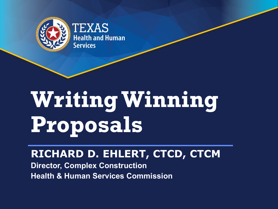

# **Writing Winning Proposals**

## **RICHARD D. EHLERT, CTCD, CTCM**

**Director, Complex Construction Health & Human Services Commission**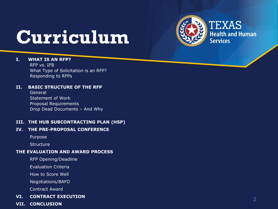

# **Curriculum**

#### **I. WHAT IS AN RFP?**

RFP vs. IFB What Type of Solicitation is an RFP? Responding to RFPs

#### **II. BASIC STRUCTURE OF THE RFP**

General Statement of Work Proposal Requirements Drop Dead Documents – And Why

#### **III. THE HUB SUBCONTRACTING PLAN (HSP)**

#### **IV. THE PRE -PROPOSAL CONFERENCE**

Purpose

**Structure** 

#### **THE EVALUATION AND AWARD PROCESS**

RFP Opening/Deadline

Evaluation Criteria

How to Score Well

Negotiations/BAFO

Contract Award

#### **VI. CONTRACT EXECUTION**

**VII. CONCLUSION**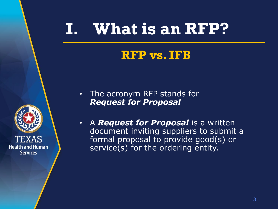# **I. What is an RFP?**

## **RFP vs. IFB**

**Health and Human Services** 

• The acronym RFP stands for *Request for Proposal*

• A *Request for Proposal* is a written document inviting suppliers to submit a formal proposal to provide good(s) or service(s) for the ordering entity.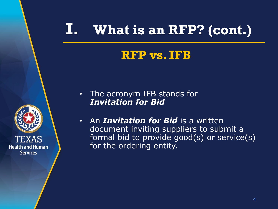## **RFP vs. IFB**



- The acronym IFB stands for *Invitation for Bid*
- An *Invitation for Bid* is a written document inviting suppliers to submit a formal bid to provide good(s) or service(s) for the ordering entity.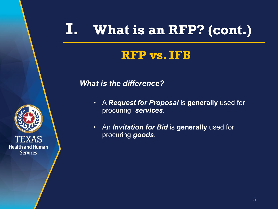## **RFP vs. IFB**

#### *What is the difference?*

- A *Request for Proposal* is **generally** used for procuring *services*.
- An *Invitation for Bid* is **generally** used for procuring *goods*.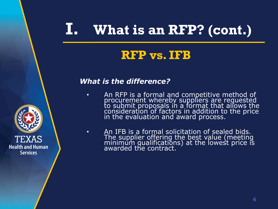## **RFP vs. IFB**

#### *What is the difference?*

- An RFP is a formal and competitive method of procurement whereby suppliers are requested to submit proposals in a format that allows the consideration of factors in addition to the price in the evaluation and award process.
- An IFB is a formal solicitation of sealed bids. The supplier offering the best value (meeting minimum qualifications) at the lowest price is awarded the contract.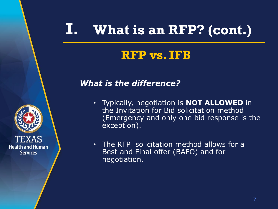## **RFP vs. IFB**

#### *What is the difference?*



- Typically, negotiation is **NOT ALLOWED** in the Invitation for Bid solicitation method (Emergency and only one bid response is the exception).
- The RFP solicitation method allows for a Best and Final offer (BAFO) and for negotiation.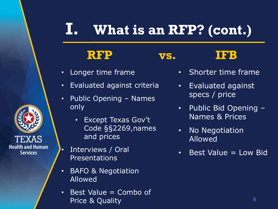## **RFP vs. IFB**

#### • Longer time frame

- Evaluated against criteria
- Public Opening Names only
	- Except Texas Gov't Code §§2269,names and prices
- Interviews / Oral **Presentations**

- BAFO & Negotiation Allowed
- Best Value = Combo of Price & Quality

- Shorter time frame
- Evaluated against specs / price
- Public Bid Opening Names & Prices
- No Negotiation Allowed
- $\cdot$  Best Value = Low Bid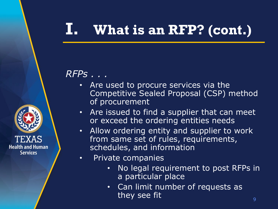## *RFPs . . .*

- Are used to procure services via the Competitive Sealed Proposal (CSP) method of procurement
- Are issued to find a supplier that can meet or exceed the ordering entities needs
- Allow ordering entity and supplier to work from same set of rules, requirements, schedules, and information
- Private companies
	- No legal requirement to post RFPs in a particular place
	- Can limit number of requests as they see fit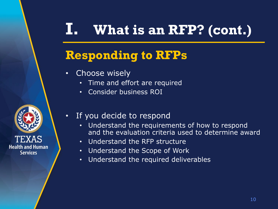## **Responding to RFPs**

- Choose wisely
	- Time and effort are required
	- Consider business ROI
- If you decide to respond
	- Understand the requirements of how to respond and the evaluation criteria used to determine award
	- Understand the RFP structure
	- Understand the Scope of Work
	- Understand the required deliverables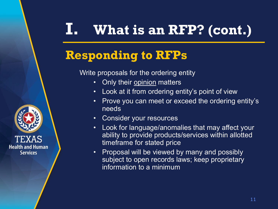## **Responding to RFPs**

Write proposals for the ordering entity

- Only their opinion matters
- Look at it from ordering entity's point of view
- Prove you can meet or exceed the ordering entity's needs
- Consider your resources
- Look for language/anomalies that may affect your ability to provide products/services within allotted timeframe for stated price
- Proposal will be viewed by many and possibly subject to open records laws; keep proprietary information to a minimum



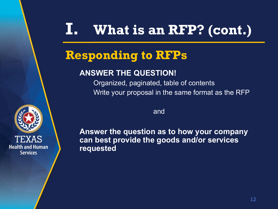## **Responding to RFPs**

### **ANSWER THE QUESTION!**

Organized, paginated, table of contents Write your proposal in the same format as the RFP

and

**Answer the question as to how your company can best provide the goods and/or services requested**

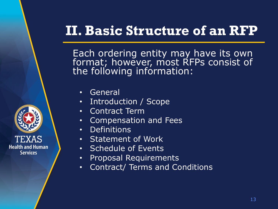Each ordering entity may have its own format; however, most RFPs consist of the following information:

- General
- Introduction / Scope
- Contract Term
- Compensation and Fees
- Definitions
- Statement of Work
- Schedule of Events
- Proposal Requirements
- Contract/ Terms and Conditions

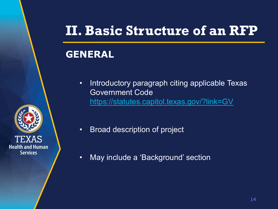### **GENERAL**

• Introductory paragraph citing applicable Texas Government Code <https://statutes.capitol.texas.gov/?link=GV>



- Broad description of project
- May include a 'Background' section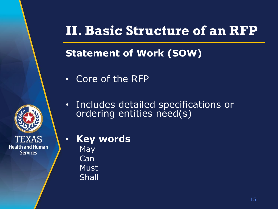## **Statement of Work (SOW)**

- Core of the RFP
- Includes detailed specifications or ordering entities need(s)
- **Key words**

**May** Can **Must** Shall

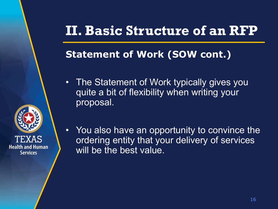## **Statement of Work (SOW cont.)**

• The Statement of Work typically gives you quite a bit of flexibility when writing your proposal.



• You also have an opportunity to convince the ordering entity that your delivery of services will be the best value.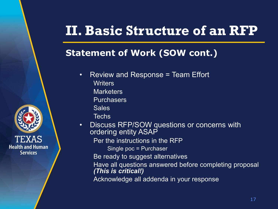### **Statement of Work (SOW cont.)**



**Purchasers** 

**Sales** 

**Techs** 

**Health and Human Services** 

• Discuss RFP/SOW questions or concerns with ordering entity ASAP

Per the instructions in the RFP

Single poc = Purchaser

Be ready to suggest alternatives

Have all questions answered before completing proposal *(This is critical!)*

Acknowledge all addenda in your response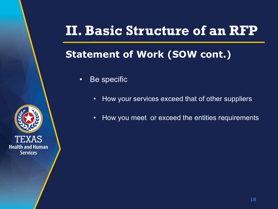## **Statement of Work (SOW cont.)**

- Be specific
	- How your services exceed that of other suppliers
	- How you meet or exceed the entities requirements

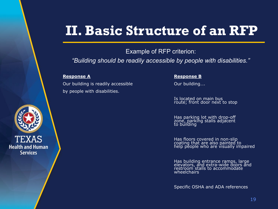Example of RFP criterion:

*"Building should be readily accessible by people with disabilities."*

Our building is readily accessible **OUR** Our building.... by people with disabilities.

#### **Response A Response B**

Is located on main bus route; front door next to stop

Has parking lot with drop-off zone, parking stalls adjacent to building

Has floors covered in non-slip<br>coating that are also painted to help people who are visually impaired

Has building entrance ramps, large elevators, and extra-wide doors and restroom stalls to accommodate wheelchairs

Specific OSHA and ADA references

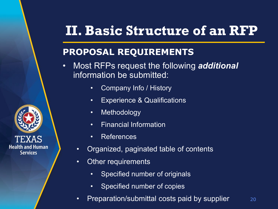### **PROPOSAL REQUIREMENTS**

- Most RFPs request the following *additional* information be submitted:
	- Company Info / History
	- Experience & Qualifications
	- Methodology
	- Financial Information
	- References
	- Organized, paginated table of contents
	- Other requirements
		- Specified number of originals
		- Specified number of copies
	- Preparation/submittal costs paid by supplier

20

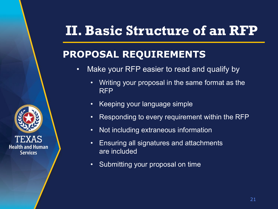## **PROPOSAL REQUIREMENTS**

- Make your RFP easier to read and qualify by
	- Writing your proposal in the same format as the RFP
	- Keeping your language simple
	- Responding to every requirement within the RFP
	- Not including extraneous information
	- Ensuring all signatures and attachments are included
	- Submitting your proposal on time

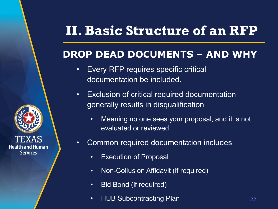## **DROP DEAD DOCUMENTS – AND WHY**

- Every RFP requires specific critical documentation be included.
- Exclusion of critical required documentation generally results in disqualification
	- Meaning no one sees your proposal, and it is not evaluated or reviewed
- Common required documentation includes
	- Execution of Proposal

- Non-Collusion Affidavit (if required)
- Bid Bond (if required)
- HUB Subcontracting Plan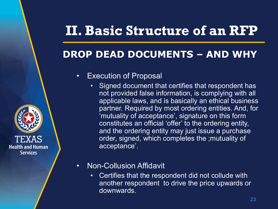## **DROP DEAD DOCUMENTS – AND WHY**

#### • Execution of Proposal

- Signed document that certifies that respondent has not provided false information, is complying with all applicable laws, and is basically an ethical business partner. Required by most ordering entities. And, for 'mutuality of acceptance', signature on this form constitutes an official 'offer' to the ordering entity, and the ordering entity may just issue a purchase order, signed, which completes the ;mutuality of acceptance'.
- Non-Collusion Affidavit

**Health and Human Services** 

> • Certifies that the respondent did not collude with another respondent to drive the price upwards or downwards.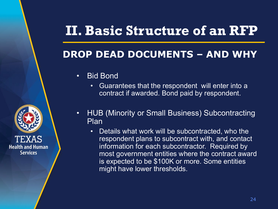## **DROP DEAD DOCUMENTS – AND WHY**

• Bid Bond

- Guarantees that the respondent will enter into a contract if awarded. Bond paid by respondent.
- HUB (Minority or Small Business) Subcontracting Plan
	- Details what work will be subcontracted, who the respondent plans to subcontract with, and contact information for each subcontractor. Required by most government entities where the contract award is expected to be \$100K or more. Some entities might have lower thresholds.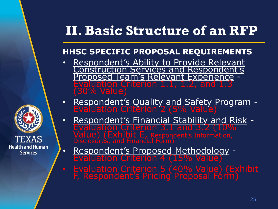### **HHSC SPECIFIC PROPOSAL REQUIREMENTS**

- Respondent's Ability to Provide Relevant Construction Services and Respondent's sed Team's Relevant Experience<br>ation Criterion 1.1, 1.2, and 1.3 (30% Value)
- Respondent's Quality and Safety Program -<br>Evaluation Criterion 2 (5% Value)
	- Respondent's Financial Stability and Risk Evaluation Criterion 3.1 and 3.2 (10% alue) (Exhibit E, Respondent's Information,<br>isclosures, and Financial Form)
- Respondent's Proposed Methodology Evaluation Criterion 4 (15% Value)

**Health and Human Services** 

> • Evaluation Criterion 5 (40% Value) (Exhibit F, Respondent's Pricing Proposal Fórm)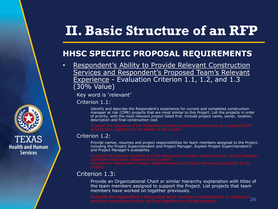#### **HHSC SPECIFIC PROPOSAL REQUIREMENTS**

Respondent's Ability to Provide Relevant Construction Services and Respondent's Proposed Team's Relevant Experience - Evaluation Criterion 1.1, 1.2, and 1.3 (30% Value)

Key word is 'relevant'

Criterion 1.1:

Identify and describe the Respondent's experience for current and completed construction manager at risk (CMR) projects that are most similar to this Project. List the projects in order of priority, with the most relevant project listed first. Include project name, owner, location, description and final construction cost.

#### Criterion 1.2:

Provide names, resumes and project responsibilities for team members assigned to the Project, including the Project Superintendent and Project Manager. Explain Project Superintendent's and Project Manager's availability.

#### Criterion 1.3:

Provide an Organizational Chart or similar hierarchy explanation with titles of the team members assigned to support the Project. List projects that team members have worked on together previously.

26

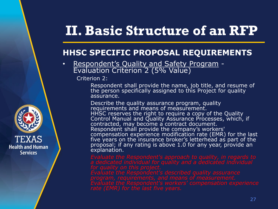#### **HHSC SPECIFIC PROPOSAL REQUIREMENTS**

• Respondent's Quality and Safety Program -<br>Evaluation Criterion 2 (5% Value)

Criterion 2:

Respondent shall provide the name, job title, and resume of the person specifically assigned to this Project for quality assurance.

Describe the quality assurance program, quality requirements and means of measurement. HHSC reserves the right to require a copy of the Quality Control Manual and Quality Assurance Processes, which, if contracted, may become a contract document. Respondent shall provide the company's workers' compensation experience modification rate (EMR) for the last five years on the insurance broker's letterhead as part of the proposal; if any rating is above 1.0 for any year, provide an explanation.

*rate (EMR) for the last five years.*



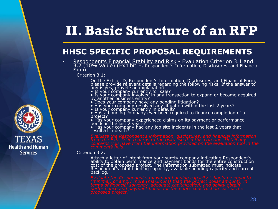#### **HHSC SPECIFIC PROPOSAL REQUIREMENTS**

• Respondent's Financial Stability and Risk - Evaluation Criterion 3.1 and 3.2 (10% Value) (Exhibit E, Respondent's Information, Disclosures, and Financial<br>Form)

Criterion 3.1:

On the Exhibit D, Respondent's Information, Disclosures, and Financial Form, please provide relevant details regarding the following risks. If the answer to any is yes, provide an explanation:

- Is your company currently for sale?
- Is your company involved in any transaction to expand or become acquired by another business entity?
- Does your company have any pending litigation?
- Has your company resolved any litigation within the last 2 years?
- Is your company currently in défault?
- Has a bonding company ever been required to finance completion of a project?
- Has your company experienced claims on its payment or performance bonds in the last 2 years?
- Has your company had any job site incidents in the last 2 years that resulted in death?

Criterion 3.2:

Attach a letter of intent from your surety company indicating Respondent's ability to obtain performance and payment bonds for the entire construction cost of the proposed project. The information submitted must indicate Respondent's total bonding capacity, available bonding capacity and current backlog.

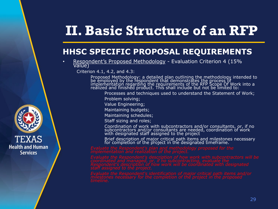#### **HHSC SPECIFIC PROPOSAL REQUIREMENTS**

Respondent's Proposed Methodology - Evaluation Criterion 4 (15% Value)

Criterion 4.1, 4.2, and 4.3:

Proposed Methodology: a detailed plan outlining the methodology intended to be employed by the respondent that demonstrates the process of implementation regarding the requirements of the RFP Scope Of Work into a realized and finished product. This shall include but not be limited to:

Processes and techniques used to understand the Statement of Work;

Problem solving;

Value Engineering;

Maintaining budgets;

Maintaining schedules;

Staff sizing and roles;

Coordination of work with subcontractors and/or consultants, or, if no subcontractors and/or consultants are needed, coordination of work with designated staff assigned to the project

Brief description of major critical path items and milestones necessary for completion of the project in the designated timeframe.

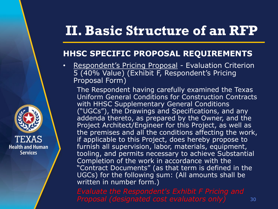#### **HHSC SPECIFIC PROPOSAL REQUIREMENTS**

• Respondent's Pricing Proposal - Evaluation Criterion 5 (40% Value) (Exhibit F, Respondent's Pricing Proposal Form)

The Respondent having carefully examined the Texas Uniform General Conditions for Construction Contracts with HHSC Supplementary General Conditions ("UGCs"), the Drawings and Specifications, and any addenda thereto, as prepared by the Owner, and the Project Architect/Engineer for this Project, as well as the premises and all the conditions affecting the work, if applicable to this Project, does hereby propose to furnish all supervision, labor, materials, equipment, tooling, and permits necessary to achieve Substantial Completion of the work in accordance with the "Contract Documents" (as that term is defined in the UGCs) for the following sum: (All amounts shall be written in number form.)

**Health and Human Services** 

30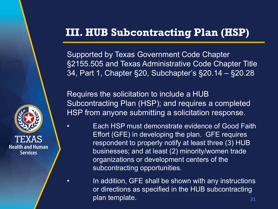Supported by Texas Government Code Chapter §2155.505 and Texas Administrative Code Chapter Title 34, Part 1, Chapter §20, Subchapter's §20.14 – §20.28

Requires the solicitation to include a HUB Subcontracting Plan (HSP); and requires a completed HSP from anyone submitting a solicitation response.

• **Each HSP must demonstrate evidence of Good Faith** Effort (GFE) in developing the plan. GFE requires respondent to properly notify at least three (3) HUB businesses; and at least (2) minority/women trade organizations or development centers of the subcontracting opportunities.

> 31 In addition, GFE shall be shown with any instructions or directions as specified in the HUB subcontracting plan template.

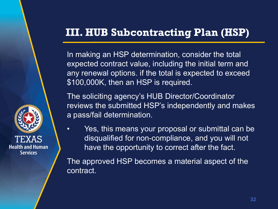In making an HSP determination, consider the total expected contract value, including the initial term and any renewal options. if the total is expected to exceed \$100,000K, then an HSP is required.

The soliciting agency's HUB Director/Coordinator reviews the submitted HSP's independently and makes a pass/fail determination.

• Yes, this means your proposal or submittal can be disqualified for non-compliance, and you will not have the opportunity to correct after the fact.

The approved HSP becomes a material aspect of the contract.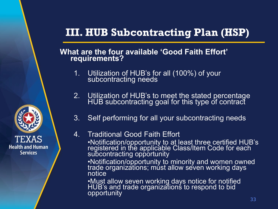#### **What are the four available 'Good Faith Effort' requirements?**

- 1. Utilization of HUB's for all (100%) of your subcontracting needs
- 2. Utilization of HUB's to meet the stated percentage HUB subcontracting goal for this type of contract
- 3. Self performing for all your subcontracting needs

#### 4. Traditional Good Faith Effort

•Notification/opportunity to at least three certified HUB's registered in the applicable Class/Item Code for each subcontracting opportunity

•Notification/opportunity to minority and women owned traḍe organizations; múst allow seven working days notice

•Must allow seven working days notice for notified HUB's and trade organizations to respond to bid opportunity

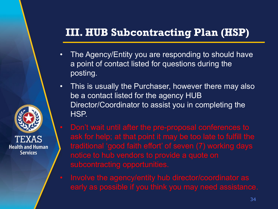- The Agency/Entity you are responding to should have a point of contact listed for questions during the posting.
- This is usually the Purchaser, however there may also be a contact listed for the agency HUB Director/Coordinator to assist you in completing the HSP.
- Don't wait until after the pre-proposal conferences to ask for help; at that point it may be too late to fulfill the traditional 'good faith effort' of seven (7) working days notice to hub vendors to provide a quote on
	- Involve the agency/entity hub director/coordinator as

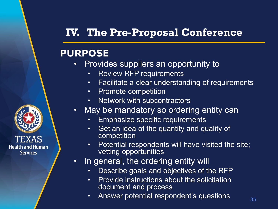## **IV. The Pre-Proposal Conference**

### **PURPOSE**

- Provides suppliers an opportunity to
	- Review RFP requirements
	- Facilitate a clear understanding of requirements
	- Promote competition
	- Network with subcontractors
- May be mandatory so ordering entity can
	- Emphasize specific requirements
	- Get an idea of the quantity and quality of competition
	- Potential respondents will have visited the site; vetting opportunities
- In general, the ordering entity will
	- Describe goals and objectives of the RFP
	- Provide instructions about the solicitation document and process
	- Answer potential respondent's questions

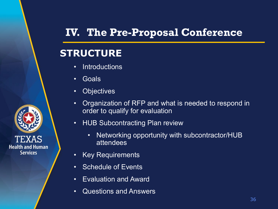## **IV. The Pre-Proposal Conference**

### **STRUCTURE**

- Introductions
- Goals

- Objectives
- Organization of RFP and what is needed to respond in order to qualify for evaluation
- HUB Subcontracting Plan review
	- Networking opportunity with subcontractor/HUB attendees
- Key Requirements
- Schedule of Events
- Evaluation and Award
- Questions and Answers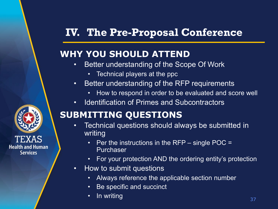## **IV. The Pre-Proposal Conference**

### **WHY YOU SHOULD ATTEND**

- Better understanding of the Scope Of Work
	- Technical players at the ppc
- Better understanding of the RFP requirements
	- How to respond in order to be evaluated and score well
- Identification of Primes and Subcontractors

### **SUBMITTING QUESTIONS**

- Technical questions should always be submitted in writing
	- Per the instructions in the RFP single POC  $=$ Purchaser
	- For your protection AND the ordering entity's protection
- How to submit questions
	- Always reference the applicable section number
	- Be specific and succinct
	- In writing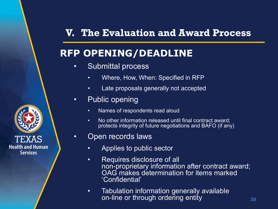## **RFP OPENING/DEADLINE**

- Submittal process
	- Where, How, When: Specified in RFP
	- Late proposals generally not accepted
- Public opening
	- Names of respondents read aloud
	- No other information released until final contract award; protects integrity of future negotiations and BAFO (if any)
- Open records laws
	- Applies to public sector
	- Requires disclosure of all non-proprietary information after contract award; OAG makes determination for items marked 'Confidential'
	- Tabulation information generally available on-line or through ordering entity

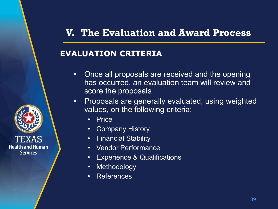#### **EVALUATION CRITERIA**

- Once all proposals are received and the opening has occurred, an evaluation team will review and score the proposals
- Proposals are generally evaluated, using weighted values, on the following criteria:
	- Price

- Company History
- Financial Stability
- Vendor Performance
- Experience & Qualifications
- Methodology
- References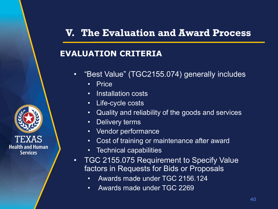#### **EVALUATION CRITERIA**

- "Best Value" (TGC2155.074) generally includes
	- Price

- Installation costs
- Life-cycle costs
- Quality and reliability of the goods and services
- Delivery terms
- Vendor performance
- Cost of training or maintenance after award
- Technical capabilities
- TGC 2155.075 Requirement to Specify Value factors in Requests for Bids or Proposals
	- Awards made under TGC 2156.124
	- Awards made under TGC 2269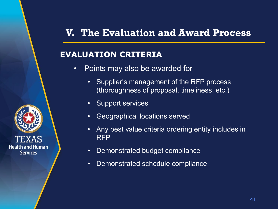#### **EVALUATION CRITERIA**

- Points may also be awarded for
	- Supplier's management of the RFP process (thoroughness of proposal, timeliness, etc.)
	- Support services

- Geographical locations served
- Any best value criteria ordering entity includes in RFP
- Demonstrated budget compliance
- Demonstrated schedule compliance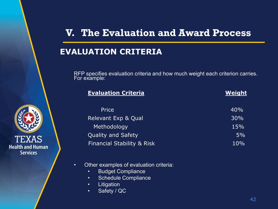#### **EVALUATION CRITERIA**

RFP specifies evaluation criteria and how much weight each criterion carries. For example:

| <b>Evaluation Criteria</b>            | Weight |
|---------------------------------------|--------|
| Price                                 | 40%    |
| Relevant Exp & Qual                   | 30%    |
| Methodology                           | 15%    |
| <b>Quality and Safety</b>             | 5%     |
| <b>Financial Stability &amp; Risk</b> | 10%    |

- Other examples of evaluation criteria:
	- Budget Compliance
	- Schedule Compliance
	- Litigation
	- Safety / QC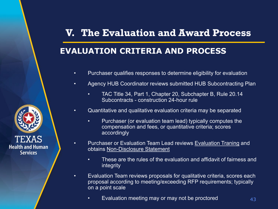### **EVALUATION CRITERIA AND PROCESS**

- Purchaser qualifies responses to determine eligibility for evaluation
- Agency HUB Coordinator reviews submitted HUB Subcontracting Plan
	- TAC Title 34, Part 1, Chapter 20, Subchapter B, Rule 20.14 Subcontracts - construction 24-hour rule
- Quantitative and qualitative evaluation criteria may be separated
	- Purchaser (or evaluation team lead) typically computes the compensation and fees, or quantitative criteria; scores accordingly
- Purchaser or Evaluation Team Lead reviews Evaluation Traning and obtains Non-Disclosure Statement
	- These are the rules of the evaluation and affidavit of fairness and integrity
- Evaluation Team reviews proposals for qualitative criteria, scores each proposal according to meeting/exceeding RFP requirements; typically on a point scale
	- Evaluation meeting may or may not be proctored



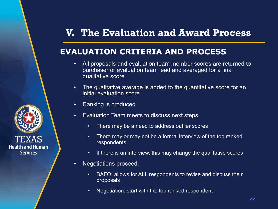#### **EVALUATION CRITERIA AND PROCESS**

- All proposals and evaluation team member scores are returned to purchaser or evaluation team lead and averaged for a final qualitative score
- The qualitative average is added to the quantitative score for an initial evaluation score
- Ranking is produced
- Evaluation Team meets to discuss next steps
	- There may be a need to address outlier scores
	- There may or may not be a formal interview of the top ranked **respondents**
	- If there is an interview, this may change the qualitative scores
- Negotiations proceed:
	- BAFO: allows for ALL respondents to revise and discuss their proposals
	- Negotiation: start with the top ranked respondent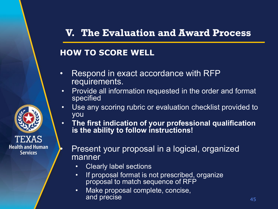#### **HOW TO SCORE WELL**

- Respond in exact accordance with RFP requirements.
- Provide all information requested in the order and format specified
- Use any scoring rubric or evaluation checklist provided to you
- **The first indication of your professional qualification is the ability to follow instructions!**
- **Health and Human Services**
- Present your proposal in a logical, organized manner
	- Clearly label sections
	- If proposal format is not prescribed, organize proposal to match sequence of RFP
	- Make proposal complete, concise, and precise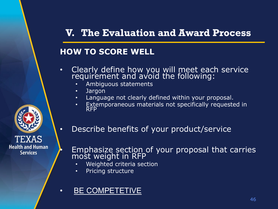#### **HOW TO SCORE WELL**

- Clearly define how you will meet each service requirement and avoid the following:
	- Ambiguous statements
	- Jargon

- Language not clearly defined within your proposal.
- Extemporaneous materials not specifically requested in RFP
- Describe benefits of your product/service
- Emphasize section of your proposal that carries most weight in RFP
	- Weighted criteria section
	- Pricing structure
- BE COMPETETIVE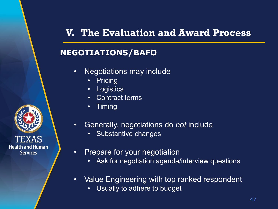#### **NEGOTIATIONS/BAFO**

- Negotiations may include
	- **Pricing**
	- Logistics
	- Contract terms
	- Timing
- Generally, negotiations do *not* include
	- Substantive changes
- Prepare for your negotiation
	- Ask for negotiation agenda/interview questions
- Value Engineering with top ranked respondent
	- Usually to adhere to budget

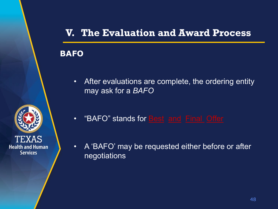#### **BAFO**

• After evaluations are complete, the ordering entity may ask for a *BAFO*



- "BAFO" stands for **Best** and Final Offer
- A 'BAFO' may be requested either before or after negotiations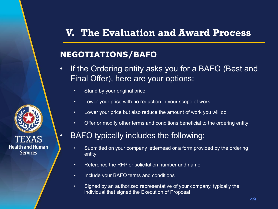#### **NEGOTIATIONS/BAFO**

- If the Ordering entity asks you for a BAFO (Best and Final Offer), here are your options:
	- Stand by your original price
	- Lower your price with no reduction in your scope of work
	- Lower your price but also reduce the amount of work you will do
	- Offer or modify other terms and conditions beneficial to the ordering entity

#### • BAFO typically includes the following:

- Submitted on your company letterhead or a form provided by the ordering entity
- Reference the RFP or solicitation number and name
- Include your BAFO terms and conditions
- Signed by an authorized representative of your company, typically the individual that signed the Execution of Proposal

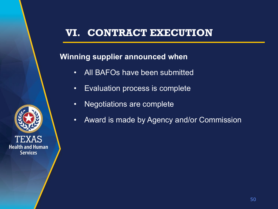#### **Winning supplier announced when**

- All BAFOs have been submitted
- Evaluation process is complete
- Negotiations are complete
- Award is made by Agency and/or Commission

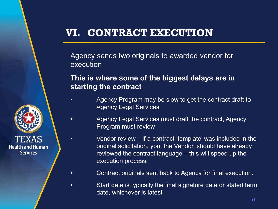**Health and Human Services** 

Agency sends two originals to awarded vendor for execution

#### **This is where some of the biggest delays are in starting the contract**

- Agency Program may be slow to get the contract draft to Agency Legal Services
	- Agency Legal Services must draft the contract, Agency Program must review
- Vendor review if a contract 'template' was included in the original solicitation, you, the Vendor, should have already reviewed the contract language – this will speed up the execution process
	- Contract originals sent back to Agency for final execution.
	- Start date is typically the final signature date or stated term date, whichever is latest

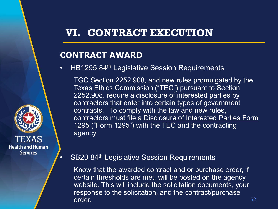#### **CONTRACT AWARD**

• HB1295 84<sup>th</sup> Legislative Session Requirements

TGC Section 2252.908, and new rules promulgated by the Texas Ethics Commission ("TEC") pursuant to Section 2252.908, require a disclosure of interested parties by contractors that enter into certain types of government contracts. To comply with the law and new rules, contractors must file a Disclosure of Interested Parties Form 1295 ("Form 1295") with the TEC and the contracting agency



• SB20 84<sup>th</sup> Legislative Session Requirements

Know that the awarded contract and or purchase order, if certain thresholds are met, will be posted on the agency website. This will include the solicitation documents, your response to the solicitation, and the contract/purchase order.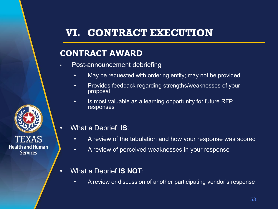#### **CONTRACT AWARD**

- Post-announcement debriefing
	- May be requested with ordering entity; may not be provided
	- Provides feedback regarding strengths/weaknesses of your proposal
	- Is most valuable as a learning opportunity for future RFP responses
- What a Debrief **IS**:
	- A review of the tabulation and how your response was scored
	- A review of perceived weaknesses in your response
- What a Debrief **IS NOT**:
	- A review or discussion of another participating vendor's response